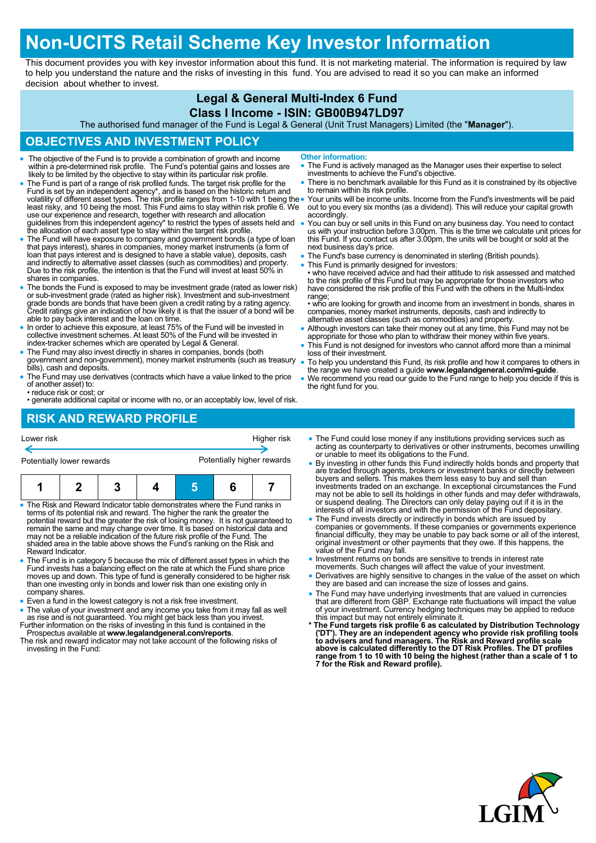# **Non-UCITS Retail Scheme Key Investor Information**

This document provides you with key investor information about this fund. It is not marketing material. The information is required by law to help you understand the nature and the risks of investing in this fund. You are advised to read it so you can make an informed decision about whether to invest.

### **Legal & General Multi-Index 6 Fund**

#### **Class I Income - ISIN: GB00B947LD97**

The authorised fund manager of the Fund is Legal & General (Unit Trust Managers) Limited (the "**Manager**").

#### **OBJECTIVES AND INVESTMENT POLICY**

- The objective of the Fund is to provide a combination of growth and income within a pre-determined risk profile. The Fund's potential gains and losses are likely to be limited by the objective to stay within its particul
- The Fund is part of a range of risk profiled funds. The target risk profile for the Fund is set by an independent agency\*, and is based on the historic return and<br>volatility of different asset types. The risk profile ranges from 1-10 with 1 being the<br>least risky, and 10 being the most. This Fund aims to s use our experience and research, together with research and allocation guidelines from this independent agency\* to restrict the types of assets held and the allocation of each asset type to stay within the target risk profile.
- The Fund will have exposure to company and government bonds (a type of loan that pays interest), shares in companies, money market instruments (a form of loan that pays interest and is designed to have a stable value), deposits, cash and indirectly to alternative asset classes (such as commodities) and property. Due to the risk profile, the intention is that the Fund will invest at least 50% in shares in companies.
- The bonds the Fund is exposed to may be investment grade (rated as lower risk) or sub-investment grade (rated as higher risk). Investment and sub-investment grade bonds are bonds that have been given a credit rating by a rating agency. Credit ratings give an indication of how likely it is that the issuer of a bond will be able to pay back interest and the loan on time.
- In order to achieve this exposure, at least 75% of the Fund will be invested in collective investment schemes. At least 50% of the Fund will be invested in index-tracker schemes which are operated by Legal & General.
- The Fund may also invest directly in shares in companies, bonds (both government and non-government), money market instruments (such as treasury bills), cash and deposits.
- The Fund may use derivatives (contracts which have a value linked to the price of another asset) to:
- reduce risk or cost; or
- generate additional capital or income with no, or an acceptably low, level of risk.

#### **RISK AND REWARD PROFILE**

- Lower risk Higher risk Higher risk Potentially lower rewards Potentially higher rewards **1 2 3 4 5 6 7**
- The Risk and Reward Indicator table demonstrates where the Fund ranks in terms of its potential risk and reward. The higher the rank the greater the potential reward but the greater the risk of losing money. It is not guaranteed to remain the same and may change over time. It is based on historical data and may not be a reliable indication of the future risk profile of the Fund. The shaded area in the table above shows the Fund's ranking on the Risk and Reward Indicator.
- The Fund is in category 5 because the mix of different asset types in which the Fund invests has a balancing effect on the rate at which the Fund share price<br>moves up and down. This type of fund is generally considered to be higher risk<br>than one investing only in bonds and lower risk than one existing company shares.
- Even a fund in the lowest category is not a risk free investment.
- The value of your investment and any income you take from it may fall as well as rise and is not guaranteed. You might get back less than you invest.
- Further information on the risks of investing in this fund is contained in the Prospectus available at **www.legalandgeneral.com/reports**.
- The risk and reward indicator may not take account of the following risks of investing in the Fund:
- The Fund could lose money if any institutions providing services such as acting as counterparty to derivatives or other instruments, becomes unwilling or unable to meet its obligations to the Fund.
- By investing in other funds this Fund indirectly holds bonds and property that are traded through agents, brokers or investment banks or directly between buyers and sellers. This makes them less easy to buy and sell than investments traded on an exchange. In exceptional circumstances the Fund may not be able to sell its holdings in other funds and may defer withdrawals, or suspend dealing. The Directors can only delay paying out if it is in the interests of all investors and with the permission of the Fund depositary.
- The Fund invests directly or indirectly in bonds which are issued by companies or governments. If these companies or governments experience<br>financial difficulty, they may be unable to pay back some or all of the interest,<br>original investment or other payments that they owe. If this happens, value of the Fund may fall.
- Investment returns on bonds are sensitive to trends in interest rate
- movements. Such changes will affect the value of your investment. Derivatives are highly sensitive to changes in the value of the asset on which they are based and can increase the size of losses and gains.
- The Fund may have underlying investments that are valued in currencies that are different from GBP. Exchange rate fluctuations will impact the value of your investment. Currency hedging techniques may be applied to reduce
- this impact but may not entirely eliminate it.<br>\* The Fund targets risk profile 6 as calculated by Distribution Technology<br>('DT'). They are an independent agency who provide risk profiling tools<br>to advisers and fund manager **above is calculated differently to the DT Risk Profiles. The DT profiles range from 1 to 10 with 10 being the highest (rather than a scale of 1 to 7 for the Risk and Reward profile).**



- **Other information:**
- The Fund is actively managed as the Manager uses their expertise to select investments to achieve the Fund's objective.
- There is no benchmark available for this Fund as it is constrained by its objective to remain within its risk profile.
- Your units will be income units. Income from the Fund's investments will be paid out to you every six months (as a dividend). This will reduce your capital growth accordingly.
- You can buy or sell units in this Fund on any business day. You need to contact us with your instruction before 3.00pm. This is the time we calculate unit prices for this Fund. If you contact us after 3.00pm, the units will be bought or sold at the next business day's price.
- The Fund's base currency is denominated in sterling (British pounds).
- This Fund is primarily designed for investors: who have received advice and had their attitude to risk assessed and matched to the risk profile of this Fund but may be appropriate for those investors who have considered the risk profile of this Fund with the others in the Multi-Index range;

• who are looking for growth and income from an investment in bonds, shares in companies, money market instruments, deposits, cash and indirectly to alternative asset classes (such as commodities) and property.

- Although investors can take their money out at any time, this Fund may not be appropriate for those who plan to withdraw their money within five years.
- This Fund is not designed for investors who cannot afford more than a minimal loss of their investment.
- To help you understand this Fund, its risk profile and how it compares to others in the range we have created a guide **www.legalandgeneral.com/mi-guide**.
- We recommend you read our guide to the Fund range to help you decide if this is the right fund for you.